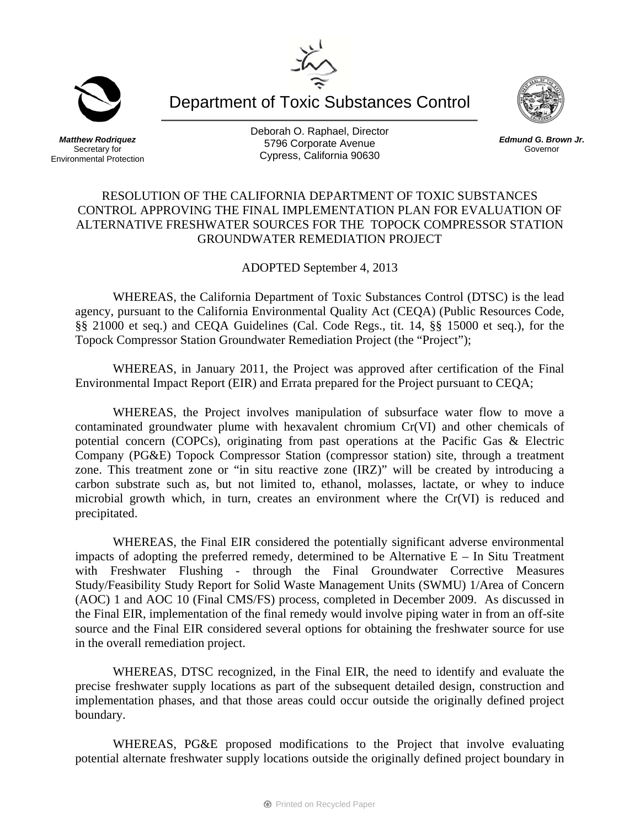Department of Toxic Substances Control

*Matthew Rodriquez*  Secretary for Environmental Protection Deborah O. Raphael, Director 5796 Corporate Avenue Cypress, California 90630

## RESOLUTION OF THE CALIFORNIA DEPARTMENT OF TOXIC SUBSTANCES CONTROL APPROVING THE FINAL IMPLEMENTATION PLAN FOR EVALUATION OF ALTERNATIVE FRESHWATER SOURCES FOR THE TOPOCK COMPRESSOR STATION GROUNDWATER REMEDIATION PROJECT

ADOPTED September 4, 2013

WHEREAS, the California Department of Toxic Substances Control (DTSC) is the lead agency, pursuant to the California Environmental Quality Act (CEQA) (Public Resources Code, §§ 21000 et seq.) and CEQA Guidelines (Cal. Code Regs., tit. 14, §§ 15000 et seq.), for the Topock Compressor Station Groundwater Remediation Project (the "Project");

WHEREAS, in January 2011, the Project was approved after certification of the Final Environmental Impact Report (EIR) and Errata prepared for the Project pursuant to CEQA;

WHEREAS, the Project involves manipulation of subsurface water flow to move a contaminated groundwater plume with hexavalent chromium Cr(VI) and other chemicals of potential concern (COPCs), originating from past operations at the Pacific Gas & Electric Company (PG&E) Topock Compressor Station (compressor station) site, through a treatment zone. This treatment zone or "in situ reactive zone (IRZ)" will be created by introducing a carbon substrate such as, but not limited to, ethanol, molasses, lactate, or whey to induce microbial growth which, in turn, creates an environment where the Cr(VI) is reduced and precipitated.

WHEREAS, the Final EIR considered the potentially significant adverse environmental impacts of adopting the preferred remedy, determined to be Alternative  $E - In$  Situ Treatment with Freshwater Flushing - through the Final Groundwater Corrective Measures Study/Feasibility Study Report for Solid Waste Management Units (SWMU) 1/Area of Concern (AOC) 1 and AOC 10 (Final CMS/FS) process, completed in December 2009. As discussed in the Final EIR, implementation of the final remedy would involve piping water in from an off-site source and the Final EIR considered several options for obtaining the freshwater source for use in the overall remediation project.

WHEREAS, DTSC recognized, in the Final EIR, the need to identify and evaluate the precise freshwater supply locations as part of the subsequent detailed design, construction and implementation phases, and that those areas could occur outside the originally defined project boundary.

WHEREAS, PG&E proposed modifications to the Project that involve evaluating potential alternate freshwater supply locations outside the originally defined project boundary in





*Edmund G. Brown Jr.*  Governor